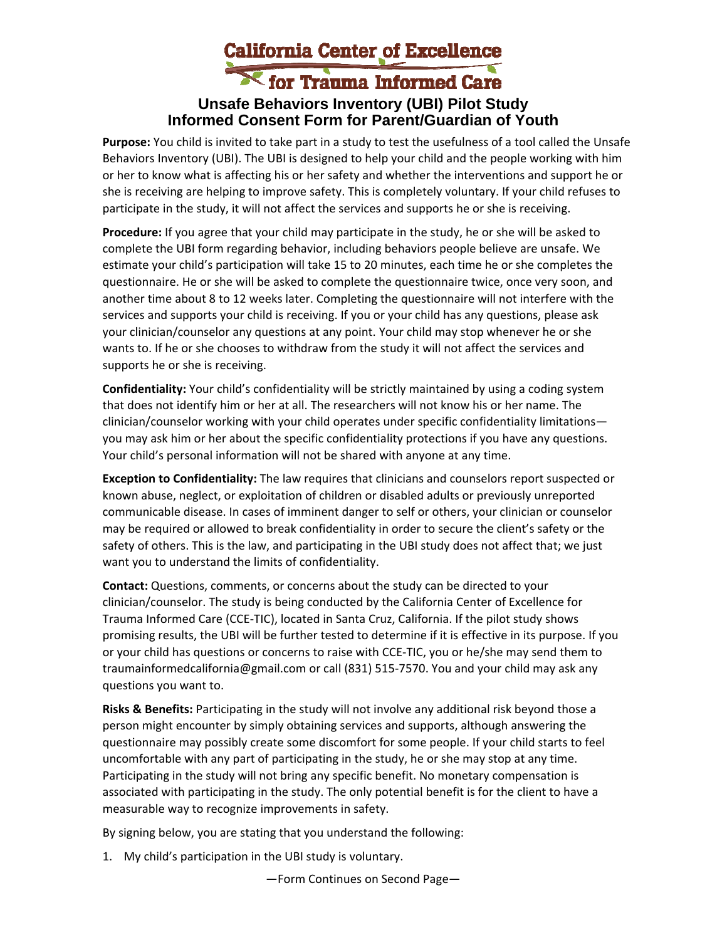## California Center of Excellence **Unsafe Behaviors Inventory (UBI) Pilot Study Informed Consent Form for Parent/Guardian of Youth**

**Purpose:** You child is invited to take part in a study to test the usefulness of a tool called the Unsafe Behaviors Inventory (UBI). The UBI is designed to help your child and the people working with him or her to know what is affecting his or her safety and whether the interventions and support he or she is receiving are helping to improve safety. This is completely voluntary. If your child refuses to participate in the study, it will not affect the services and supports he or she is receiving.

**Procedure:** If you agree that your child may participate in the study, he or she will be asked to complete the UBI form regarding behavior, including behaviors people believe are unsafe. We estimate your child's participation will take 15 to 20 minutes, each time he or she completes the questionnaire. He or she will be asked to complete the questionnaire twice, once very soon, and another time about 8 to 12 weeks later. Completing the questionnaire will not interfere with the services and supports your child is receiving. If you or your child has any questions, please ask your clinician/counselor any questions at any point. Your child may stop whenever he or she wants to. If he or she chooses to withdraw from the study it will not affect the services and supports he or she is receiving.

**Confidentiality:** Your child's confidentiality will be strictly maintained by using a coding system that does not identify him or her at all. The researchers will not know his or her name. The clinician/counselor working with your child operates under specific confidentiality limitations you may ask him or her about the specific confidentiality protections if you have any questions. Your child's personal information will not be shared with anyone at any time.

**Exception to Confidentiality:** The law requires that clinicians and counselors report suspected or known abuse, neglect, or exploitation of children or disabled adults or previously unreported communicable disease. In cases of imminent danger to self or others, your clinician or counselor may be required or allowed to break confidentiality in order to secure the client's safety or the safety of others. This is the law, and participating in the UBI study does not affect that; we just want you to understand the limits of confidentiality.

**Contact:** Questions, comments, or concerns about the study can be directed to your clinician/counselor. The study is being conducted by the California Center of Excellence for Trauma Informed Care (CCE‐TIC), located in Santa Cruz, California. If the pilot study shows promising results, the UBI will be further tested to determine if it is effective in its purpose. If you or your child has questions or concerns to raise with CCE‐TIC, you or he/she may send them to traumainformedcalifornia@gmail.com or call (831) 515‐7570. You and your child may ask any questions you want to.

**Risks & Benefits:** Participating in the study will not involve any additional risk beyond those a person might encounter by simply obtaining services and supports, although answering the questionnaire may possibly create some discomfort for some people. If your child starts to feel uncomfortable with any part of participating in the study, he or she may stop at any time. Participating in the study will not bring any specific benefit. No monetary compensation is associated with participating in the study. The only potential benefit is for the client to have a measurable way to recognize improvements in safety.

By signing below, you are stating that you understand the following:

1. My child's participation in the UBI study is voluntary.

—Form Continues on Second Page—